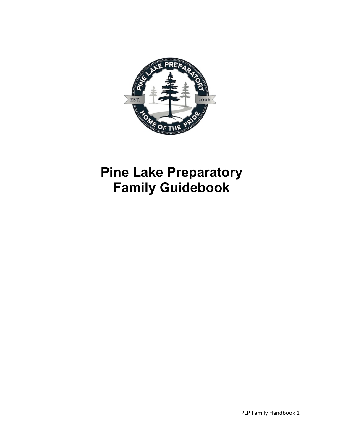

# **Pine Lake Preparatory Family Guidebook**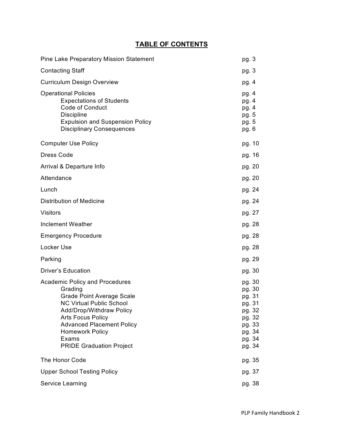# **TABLE OF CONTENTS**

| <b>Pine Lake Preparatory Mission Statement</b>                                                                                                                                                                                                                                            | pg. 3                                                                                            |
|-------------------------------------------------------------------------------------------------------------------------------------------------------------------------------------------------------------------------------------------------------------------------------------------|--------------------------------------------------------------------------------------------------|
| <b>Contacting Staff</b>                                                                                                                                                                                                                                                                   | pg. 3                                                                                            |
| <b>Curriculum Design Overview</b>                                                                                                                                                                                                                                                         | pg. 4                                                                                            |
| <b>Operational Policies</b><br><b>Expectations of Students</b><br><b>Code of Conduct</b><br><b>Discipline</b><br><b>Expulsion and Suspension Policy</b><br><b>Disciplinary Consequences</b>                                                                                               | pg. 4<br>pg. 4<br>pg. 4<br>pg. 5<br>pg. 5<br>pg. 6                                               |
| <b>Computer Use Policy</b>                                                                                                                                                                                                                                                                | pg. 10                                                                                           |
| <b>Dress Code</b>                                                                                                                                                                                                                                                                         | pg. 16                                                                                           |
| Arrival & Departure Info                                                                                                                                                                                                                                                                  | pg. 20                                                                                           |
| Attendance                                                                                                                                                                                                                                                                                | pg. 20                                                                                           |
| Lunch                                                                                                                                                                                                                                                                                     | pg. 24                                                                                           |
| <b>Distribution of Medicine</b>                                                                                                                                                                                                                                                           | pg. 24                                                                                           |
| <b>Visitors</b>                                                                                                                                                                                                                                                                           | pg. 27                                                                                           |
| <b>Inclement Weather</b>                                                                                                                                                                                                                                                                  | pg. 28                                                                                           |
| <b>Emergency Procedure</b>                                                                                                                                                                                                                                                                | pg. 28                                                                                           |
| Locker Use                                                                                                                                                                                                                                                                                | pg. 28                                                                                           |
| Parking                                                                                                                                                                                                                                                                                   | pg. 29                                                                                           |
| <b>Driver's Education</b>                                                                                                                                                                                                                                                                 | pg. 30                                                                                           |
| <b>Academic Policy and Procedures</b><br>Grading<br><b>Grade Point Average Scale</b><br><b>NC Virtual Public School</b><br>Add/Drop/Withdraw Policy<br><b>Arts Focus Policy</b><br><b>Advanced Placement Policy</b><br><b>Homework Policy</b><br>Exams<br><b>PRIDE Graduation Project</b> | pg. 30<br>pg. 30<br>pg. 31<br>pg. 31<br>pg. 32<br>pg. 32<br>pg. 33<br>pg. 34<br>pg. 34<br>pg. 34 |
| The Honor Code                                                                                                                                                                                                                                                                            | pg. 35                                                                                           |
| <b>Upper School Testing Policy</b>                                                                                                                                                                                                                                                        | pg. 37                                                                                           |
| Service Learning                                                                                                                                                                                                                                                                          | pg. 38                                                                                           |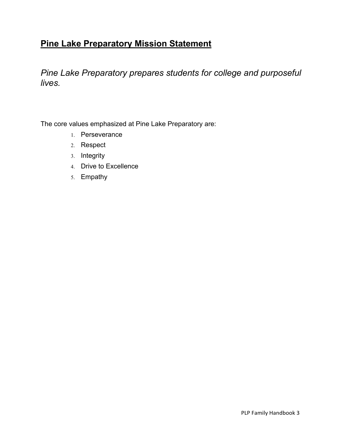# **Pine Lake Preparatory Mission Statement**

*Pine Lake Preparatory prepares students for college and purposeful lives.* 

The core values emphasized at Pine Lake Preparatory are:

- 1. Perseverance
- 2. Respect
- 3. Integrity
- 4. Drive to Excellence
- 5. Empathy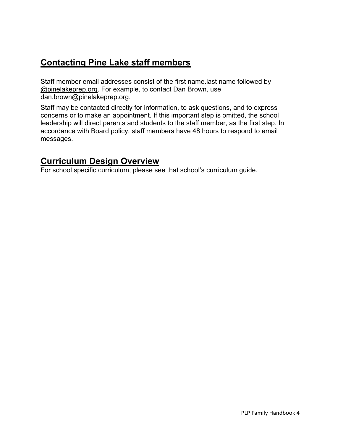# **Contacting Pine Lake staff members**

Staff member email addresses consist of the first name.last name followed by @pinelakeprep.org. For example, to contact Dan Brown, use dan.brown@pinelakeprep.org.

Staff may be contacted directly for information, to ask questions, and to express concerns or to make an appointment. If this important step is omitted, the school leadership will direct parents and students to the staff member, as the first step. In accordance with Board policy, staff members have 48 hours to respond to email messages.

# **Curriculum Design Overview**

For school specific curriculum, please see that school's curriculum guide.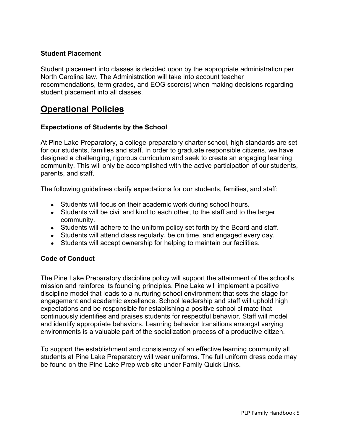### **Student Placement**

Student placement into classes is decided upon by the appropriate administration per North Carolina law. The Administration will take into account teacher recommendations, term grades, and EOG score(s) when making decisions regarding student placement into all classes.

# **Operational Policies**

### **Expectations of Students by the School**

At Pine Lake Preparatory, a college-preparatory charter school, high standards are set for our students, families and staff. In order to graduate responsible citizens, we have designed a challenging, rigorous curriculum and seek to create an engaging learning community. This will only be accomplished with the active participation of our students, parents, and staff.

The following guidelines clarify expectations for our students, families, and staff:

- Students will focus on their academic work during school hours.
- Students will be civil and kind to each other, to the staff and to the larger community.
- Students will adhere to the uniform policy set forth by the Board and staff.
- Students will attend class regularly, be on time, and engaged every day.
- Students will accept ownership for helping to maintain our facilities.

### **Code of Conduct**

The Pine Lake Preparatory discipline policy will support the attainment of the school's mission and reinforce its founding principles. Pine Lake will implement a positive discipline model that leads to a nurturing school environment that sets the stage for engagement and academic excellence. School leadership and staff will uphold high expectations and be responsible for establishing a positive school climate that continuously identifies and praises students for respectful behavior. Staff will model and identify appropriate behaviors. Learning behavior transitions amongst varying environments is a valuable part of the socialization process of a productive citizen.

To support the establishment and consistency of an effective learning community all students at Pine Lake Preparatory will wear uniforms. The full uniform dress code may be found on the Pine Lake Prep web site under Family Quick Links.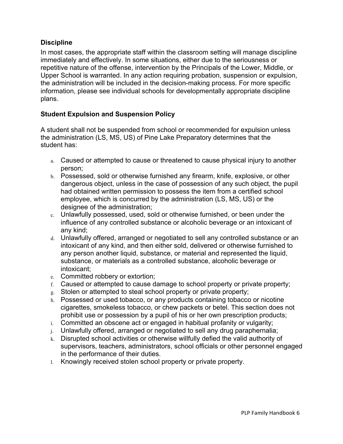### **Discipline**

In most cases, the appropriate staff within the classroom setting will manage discipline immediately and effectively. In some situations, either due to the seriousness or repetitive nature of the offense, intervention by the Principals of the Lower, Middle, or Upper School is warranted. In any action requiring probation, suspension or expulsion, the administration will be included in the decision-making process. For more specific information, please see individual schools for developmentally appropriate discipline plans.

### **Student Expulsion and Suspension Policy**

A student shall not be suspended from school or recommended for expulsion unless the administration (LS, MS, US) of Pine Lake Preparatory determines that the student has:

- a. Caused or attempted to cause or threatened to cause physical injury to another person;
- b. Possessed, sold or otherwise furnished any firearm, knife, explosive, or other dangerous object, unless in the case of possession of any such object, the pupil had obtained written permission to possess the item from a certified school employee, which is concurred by the administration (LS, MS, US) or the designee of the administration;
- c. Unlawfully possessed, used, sold or otherwise furnished, or been under the influence of any controlled substance or alcoholic beverage or an intoxicant of any kind;
- d. Unlawfully offered, arranged or negotiated to sell any controlled substance or an intoxicant of any kind, and then either sold, delivered or otherwise furnished to any person another liquid, substance, or material and represented the liquid, substance, or materials as a controlled substance, alcoholic beverage or intoxicant;
- e. Committed robbery or extortion;
- f. Caused or attempted to cause damage to school property or private property;
- g. Stolen or attempted to steal school property or private property;
- h. Possessed or used tobacco, or any products containing tobacco or nicotine cigarettes, smokeless tobacco, or chew packets or betel. This section does not prohibit use or possession by a pupil of his or her own prescription products;
- i. Committed an obscene act or engaged in habitual profanity or vulgarity;
- j. Unlawfully offered, arranged or negotiated to sell any drug paraphernalia;
- k. Disrupted school activities or otherwise willfully defied the valid authority of supervisors, teachers, administrators, school officials or other personnel engaged in the performance of their duties.
- l. Knowingly received stolen school property or private property.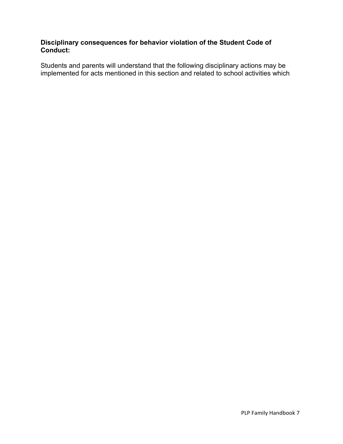# **Disciplinary consequences for behavior violation of the Student Code of Conduct:**

Students and parents will understand that the following disciplinary actions may be implemented for acts mentioned in this section and related to school activities which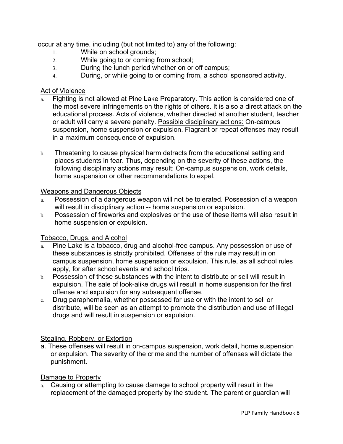occur at any time, including (but not limited to) any of the following:

- 1. While on school grounds;
- 2. While going to or coming from school;
- 3. During the lunch period whether on or off campus;
- 4. During, or while going to or coming from, a school sponsored activity.

### Act of Violence

- a. Fighting is not allowed at Pine Lake Preparatory. This action is considered one of the most severe infringements on the rights of others. It is also a direct attack on the educational process. Acts of violence, whether directed at another student, teacher or adult will carry a severe penalty. Possible disciplinary actions: On-campus suspension, home suspension or expulsion. Flagrant or repeat offenses may result in a maximum consequence of expulsion.
- b. Threatening to cause physical harm detracts from the educational setting and places students in fear. Thus, depending on the severity of these actions, the following disciplinary actions may result: On-campus suspension, work details, home suspension or other recommendations to expel.

# Weapons and Dangerous Objects

- Possession of a dangerous weapon will not be tolerated. Possession of a weapon will result in disciplinary action -- home suspension or expulsion.
- b. Possession of fireworks and explosives or the use of these items will also result in home suspension or expulsion.

# Tobacco, Drugs, and Alcohol

- a. Pine Lake is a tobacco, drug and alcohol-free campus. Any possession or use of these substances is strictly prohibited. Offenses of the rule may result in on campus suspension, home suspension or expulsion. This rule, as all school rules apply, for after school events and school trips.
- b. Possession of these substances with the intent to distribute or sell will result in expulsion. The sale of look-alike drugs will result in home suspension for the first offense and expulsion for any subsequent offense.
- c. Drug paraphernalia, whether possessed for use or with the intent to sell or distribute, will be seen as an attempt to promote the distribution and use of illegal drugs and will result in suspension or expulsion.

# Stealing, Robbery, or Extortion

a. These offenses will result in on-campus suspension, work detail, home suspension or expulsion. The severity of the crime and the number of offenses will dictate the punishment.

# Damage to Property

a. Causing or attempting to cause damage to school property will result in the replacement of the damaged property by the student. The parent or guardian will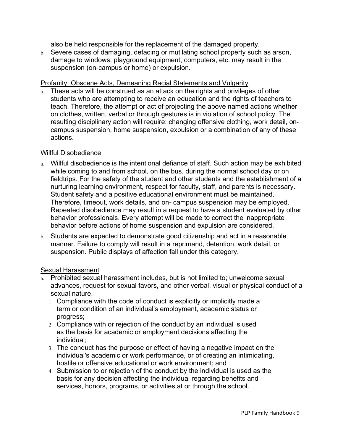also be held responsible for the replacement of the damaged property.

b. Severe cases of damaging, defacing or mutilating school property such as arson, damage to windows, playground equipment, computers, etc. may result in the suspension (on-campus or home) or expulsion.

#### Profanity, Obscene Acts, Demeaning Racial Statements and Vulgarity

a. These acts will be construed as an attack on the rights and privileges of other students who are attempting to receive an education and the rights of teachers to teach. Therefore, the attempt or act of projecting the above named actions whether on clothes, written, verbal or through gestures is in violation of school policy. The resulting disciplinary action will require: changing offensive clothing, work detail, oncampus suspension, home suspension, expulsion or a combination of any of these actions.

#### Willful Disobedience

- a. Willful disobedience is the intentional defiance of staff. Such action may be exhibited while coming to and from school, on the bus, during the normal school day or on fieldtrips. For the safety of the student and other students and the establishment of a nurturing learning environment, respect for faculty, staff, and parents is necessary. Student safety and a positive educational environment must be maintained. Therefore, timeout, work details, and on- campus suspension may be employed. Repeated disobedience may result in a request to have a student evaluated by other behavior professionals. Every attempt will be made to correct the inappropriate behavior before actions of home suspension and expulsion are considered.
- b. Students are expected to demonstrate good citizenship and act in a reasonable manner. Failure to comply will result in a reprimand, detention, work detail, or suspension. Public displays of affection fall under this category.

### Sexual Harassment

- a. Prohibited sexual harassment includes, but is not limited to; unwelcome sexual advances, request for sexual favors, and other verbal, visual or physical conduct of a sexual nature.
	- 1. Compliance with the code of conduct is explicitly or implicitly made a term or condition of an individual's employment, academic status or progress;
	- 2. Compliance with or rejection of the conduct by an individual is used as the basis for academic or employment decisions affecting the individual;
	- 3. The conduct has the purpose or effect of having a negative impact on the individual's academic or work performance, or of creating an intimidating, hostile or offensive educational or work environment; and
	- 4. Submission to or rejection of the conduct by the individual is used as the basis for any decision affecting the individual regarding benefits and services, honors, programs, or activities at or through the school.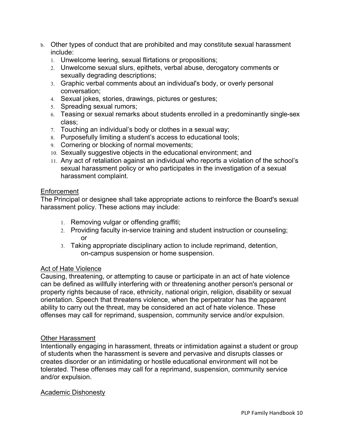- b. Other types of conduct that are prohibited and may constitute sexual harassment include:
	- 1. Unwelcome leering, sexual flirtations or propositions;
	- 2. Unwelcome sexual slurs, epithets, verbal abuse, derogatory comments or sexually degrading descriptions;
	- 3. Graphic verbal comments about an individual's body, or overly personal conversation;
	- 4. Sexual jokes, stories, drawings, pictures or gestures;
	- 5. Spreading sexual rumors;
	- 6. Teasing or sexual remarks about students enrolled in a predominantly single-sex class;
	- 7. Touching an individual's body or clothes in a sexual way;
	- 8. Purposefully limiting a student's access to educational tools;
	- 9. Cornering or blocking of normal movements;
	- 10. Sexually suggestive objects in the educational environment; and
	- 11. Any act of retaliation against an individual who reports a violation of the school's sexual harassment policy or who participates in the investigation of a sexual harassment complaint.

### Enforcement

The Principal or designee shall take appropriate actions to reinforce the Board's sexual harassment policy. These actions may include:

- 1. Removing vulgar or offending graffiti;
- 2. Providing faculty in-service training and student instruction or counseling; or
- 3. Taking appropriate disciplinary action to include reprimand, detention, on-campus suspension or home suspension.

### Act of Hate Violence

Causing, threatening, or attempting to cause or participate in an act of hate violence can be defined as willfully interfering with or threatening another person's personal or property rights because of race, ethnicity, national origin, religion, disability or sexual orientation. Speech that threatens violence, when the perpetrator has the apparent ability to carry out the threat, may be considered an act of hate violence. These offenses may call for reprimand, suspension, community service and/or expulsion.

### Other Harassment

Intentionally engaging in harassment, threats or intimidation against a student or group of students when the harassment is severe and pervasive and disrupts classes or creates disorder or an intimidating or hostile educational environment will not be tolerated. These offenses may call for a reprimand, suspension, community service and/or expulsion.

### Academic Dishonesty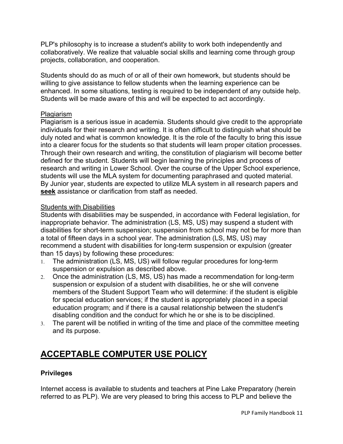PLP's philosophy is to increase a student's ability to work both independently and collaboratively. We realize that valuable social skills and learning come through group projects, collaboration, and cooperation.

Students should do as much of or all of their own homework, but students should be willing to give assistance to fellow students when the learning experience can be enhanced. In some situations, testing is required to be independent of any outside help. Students will be made aware of this and will be expected to act accordingly.

### **Plagiarism**

Plagiarism is a serious issue in academia. Students should give credit to the appropriate individuals for their research and writing. It is often difficult to distinguish what should be duly noted and what is common knowledge. It is the role of the faculty to bring this issue into a clearer focus for the students so that students will learn proper citation processes. Through their own research and writing, the constitution of plagiarism will become better defined for the student. Students will begin learning the principles and process of research and writing in Lower School. Over the course of the Upper School experience, students will use the MLA system for documenting paraphrased and quoted material. By Junior year, students are expected to utilize MLA system in all research papers and **seek** assistance or clarification from staff as needed.

### Students with Disabilities

Students with disabilities may be suspended, in accordance with Federal legislation, for inappropriate behavior. The administration (LS, MS, US) may suspend a student with disabilities for short-term suspension; suspension from school may not be for more than a total of fifteen days in a school year. The administration (LS, MS, US) may recommend a student with disabilities for long-term suspension or expulsion (greater than 15 days) by following these procedures:

- 1. The administration (LS, MS, US) will follow regular procedures for long-term suspension or expulsion as described above.
- 2. Once the administration (LS, MS, US) has made a recommendation for long-term suspension or expulsion of a student with disabilities, he or she will convene members of the Student Support Team who will determine: if the student is eligible for special education services; if the student is appropriately placed in a special education program; and if there is a causal relationship between the student's disabling condition and the conduct for which he or she is to be disciplined.
- 3. The parent will be notified in writing of the time and place of the committee meeting and its purpose.

# **ACCEPTABLE COMPUTER USE POLICY**

### **Privileges**

Internet access is available to students and teachers at Pine Lake Preparatory (herein referred to as PLP). We are very pleased to bring this access to PLP and believe the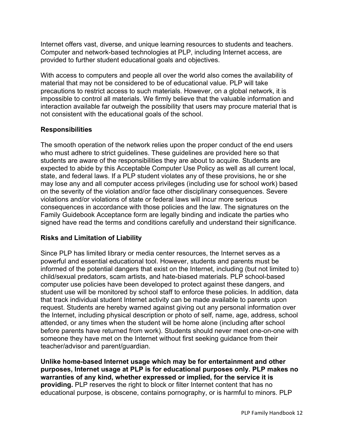Internet offers vast, diverse, and unique learning resources to students and teachers. Computer and network-based technologies at PLP, including Internet access, are provided to further student educational goals and objectives.

With access to computers and people all over the world also comes the availability of material that may not be considered to be of educational value. PLP will take precautions to restrict access to such materials. However, on a global network, it is impossible to control all materials. We firmly believe that the valuable information and interaction available far outweigh the possibility that users may procure material that is not consistent with the educational goals of the school.

# **Responsibilities**

The smooth operation of the network relies upon the proper conduct of the end users who must adhere to strict guidelines. These guidelines are provided here so that students are aware of the responsibilities they are about to acquire. Students are expected to abide by this Acceptable Computer Use Policy as well as all current local, state, and federal laws. If a PLP student violates any of these provisions, he or she may lose any and all computer access privileges (including use for school work) based on the severity of the violation and/or face other disciplinary consequences. Severe violations and/or violations of state or federal laws will incur more serious consequences in accordance with those policies and the law. The signatures on the Family Guidebook Acceptance form are legally binding and indicate the parties who signed have read the terms and conditions carefully and understand their significance.

# **Risks and Limitation of Liability**

Since PLP has limited library or media center resources, the Internet serves as a powerful and essential educational tool. However, students and parents must be informed of the potential dangers that exist on the Internet, including (but not limited to) child/sexual predators, scam artists, and hate-biased materials. PLP school-based computer use policies have been developed to protect against these dangers, and student use will be monitored by school staff to enforce these policies. In addition, data that track individual student Internet activity can be made available to parents upon request. Students are hereby warned against giving out any personal information over the Internet, including physical description or photo of self, name, age, address, school attended, or any times when the student will be home alone (including after school before parents have returned from work). Students should never meet one-on-one with someone they have met on the Internet without first seeking guidance from their teacher/advisor and parent/guardian.

**Unlike home-based Internet usage which may be for entertainment and other purposes, Internet usage at PLP is for educational purposes only. PLP makes no warranties of any kind, whether expressed or implied, for the service it is providing.** PLP reserves the right to block or filter Internet content that has no educational purpose, is obscene, contains pornography, or is harmful to minors. PLP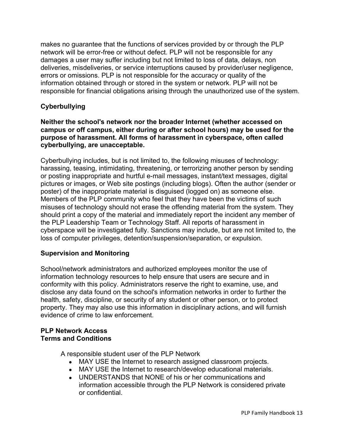makes no guarantee that the functions of services provided by or through the PLP network will be error-free or without defect. PLP will not be responsible for any damages a user may suffer including but not limited to loss of data, delays, non deliveries, misdeliveries, or service interruptions caused by provider/user negligence, errors or omissions. PLP is not responsible for the accuracy or quality of the information obtained through or stored in the system or network. PLP will not be responsible for financial obligations arising through the unauthorized use of the system.

# **Cyberbullying**

### **Neither the school's network nor the broader Internet (whether accessed on campus or off campus, either during or after school hours) may be used for the purpose of harassment. All forms of harassment in cyberspace, often called cyberbullying, are unacceptable.**

Cyberbullying includes, but is not limited to, the following misuses of technology: harassing, teasing, intimidating, threatening, or terrorizing another person by sending or posting inappropriate and hurtful e-mail messages, instant/text messages, digital pictures or images, or Web site postings (including blogs). Often the author (sender or poster) of the inappropriate material is disguised (logged on) as someone else. Members of the PLP community who feel that they have been the victims of such misuses of technology should not erase the offending material from the system. They should print a copy of the material and immediately report the incident any member of the PLP Leadership Team or Technology Staff. All reports of harassment in cyberspace will be investigated fully. Sanctions may include, but are not limited to, the loss of computer privileges, detention/suspension/separation, or expulsion.

### **Supervision and Monitoring**

School/network administrators and authorized employees monitor the use of information technology resources to help ensure that users are secure and in conformity with this policy. Administrators reserve the right to examine, use, and disclose any data found on the school's information networks in order to further the health, safety, discipline, or security of any student or other person, or to protect property. They may also use this information in disciplinary actions, and will furnish evidence of crime to law enforcement.

#### **PLP Network Access Terms and Conditions**

A responsible student user of the PLP Network

- MAY USE the Internet to research assigned classroom projects.
- MAY USE the Internet to research/develop educational materials.
- UNDERSTANDS that NONE of his or her communications and information accessible through the PLP Network is considered private or confidential.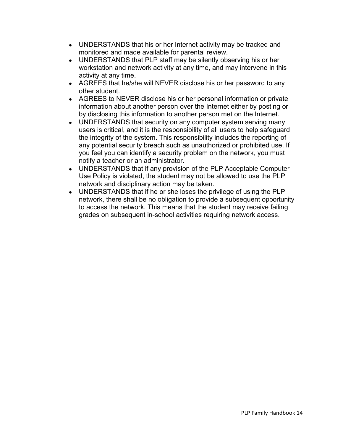- UNDERSTANDS that his or her Internet activity may be tracked and monitored and made available for parental review.
- UNDERSTANDS that PLP staff may be silently observing his or her workstation and network activity at any time, and may intervene in this activity at any time.
- AGREES that he/she will NEVER disclose his or her password to any other student.
- AGREES to NEVER disclose his or her personal information or private information about another person over the Internet either by posting or by disclosing this information to another person met on the Internet.
- UNDERSTANDS that security on any computer system serving many users is critical, and it is the responsibility of all users to help safeguard the integrity of the system. This responsibility includes the reporting of any potential security breach such as unauthorized or prohibited use. If you feel you can identify a security problem on the network, you must notify a teacher or an administrator.
- UNDERSTANDS that if any provision of the PLP Acceptable Computer Use Policy is violated, the student may not be allowed to use the PLP network and disciplinary action may be taken.
- UNDERSTANDS that if he or she loses the privilege of using the PLP network, there shall be no obligation to provide a subsequent opportunity to access the network. This means that the student may receive failing grades on subsequent in-school activities requiring network access.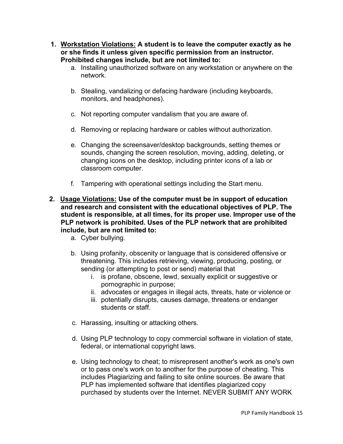- **1. Workstation Violations: A student is to leave the computer exactly as he or she finds it unless given specific permission from an instructor. Prohibited changes include, but are not limited to:**
	- a. Installing unauthorized software on any workstation or anywhere on the network.
	- b. Stealing, vandalizing or defacing hardware (including keyboards, monitors, and headphones).
	- c. Not reporting computer vandalism that you are aware of.
	- d. Removing or replacing hardware or cables without authorization.
	- e. Changing the screensaver/desktop backgrounds, setting themes or sounds, changing the screen resolution, moving, adding, deleting, or changing icons on the desktop, including printer icons of a lab or classroom computer.
	- f. Tampering with operational settings including the Start menu.
- **2. Usage Violations: Use of the computer must be in support of education and research and consistent with the educational objectives of PLP. The student is responsible, at all times, for its proper use. Improper use of the PLP network is prohibited. Uses of the PLP network that are prohibited include, but are not limited to:**
	- a. Cyber bullying.
	- b. Using profanity, obscenity or language that is considered offensive or threatening. This includes retrieving, viewing, producing, posting, or sending (or attempting to post or send) material that
		- i. is profane, obscene, lewd, sexually explicit or suggestive or pornographic in purpose;
		- ii. advocates or engages in illegal acts, threats, hate or violence or
		- iii. potentially disrupts, causes damage, threatens or endanger students or staff.
	- c. Harassing, insulting or attacking others.
	- d. Using PLP technology to copy commercial software in violation of state, federal, or international copyright laws.
	- e. Using technology to cheat; to misrepresent another's work as one's own or to pass one's work on to another for the purpose of cheating. This includes Plagiarizing and failing to site online sources. Be aware that PLP has implemented software that identifies plagiarized copy purchased by students over the Internet. NEVER SUBMIT ANY WORK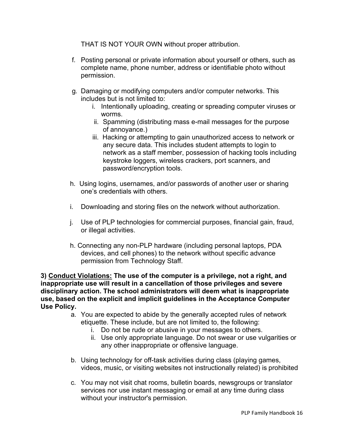THAT IS NOT YOUR OWN without proper attribution.

- f. Posting personal or private information about yourself or others, such as complete name, phone number, address or identifiable photo without permission.
- g. Damaging or modifying computers and/or computer networks. This includes but is not limited to:
	- i. Intentionally uploading, creating or spreading computer viruses or worms.
	- ii. Spamming (distributing mass e-mail messages for the purpose of annoyance.)
	- iii. Hacking or attempting to gain unauthorized access to network or any secure data. This includes student attempts to login to network as a staff member, possession of hacking tools including keystroke loggers, wireless crackers, port scanners, and password/encryption tools.
- h. Using logins, usernames, and/or passwords of another user or sharing one's credentials with others.
- i. Downloading and storing files on the network without authorization.
- j. Use of PLP technologies for commercial purposes, financial gain, fraud, or illegal activities.
- h. Connecting any non-PLP hardware (including personal laptops, PDA devices, and cell phones) to the network without specific advance permission from Technology Staff.

**3) Conduct Violations: The use of the computer is a privilege, not a right, and inappropriate use will result in a cancellation of those privileges and severe disciplinary action. The school administrators will deem what is inappropriate use, based on the explicit and implicit guidelines in the Acceptance Computer Use Policy.**

- a. You are expected to abide by the generally accepted rules of network etiquette. These include, but are not limited to, the following:
	- i. Do not be rude or abusive in your messages to others.
	- ii. Use only appropriate language. Do not swear or use vulgarities or any other inappropriate or offensive language.
- b. Using technology for off-task activities during class (playing games, videos, music, or visiting websites not instructionally related) is prohibited
- c. You may not visit chat rooms, bulletin boards, newsgroups or translator services nor use instant messaging or email at any time during class without your instructor's permission.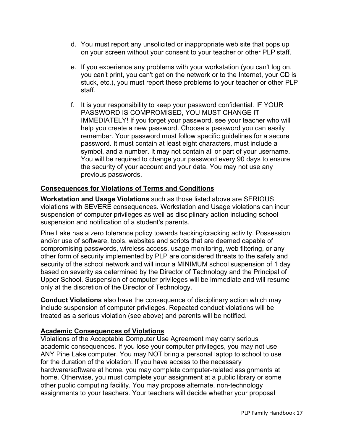- d. You must report any unsolicited or inappropriate web site that pops up on your screen without your consent to your teacher or other PLP staff.
- e. If you experience any problems with your workstation (you can't log on, you can't print, you can't get on the network or to the Internet, your CD is stuck, etc.), you must report these problems to your teacher or other PLP staff.
- f. It is your responsibility to keep your password confidential. IF YOUR PASSWORD IS COMPROMISED, YOU MUST CHANGE IT IMMEDIATELY! If you forget your password, see your teacher who will help you create a new password. Choose a password you can easily remember. Your password must follow specific guidelines for a secure password. It must contain at least eight characters, must include a symbol, and a number. It may not contain all or part of your username. You will be required to change your password every 90 days to ensure the security of your account and your data. You may not use any previous passwords.

# **Consequences for Violations of Terms and Conditions**

**Workstation and Usage Violations** such as those listed above are SERIOUS violations with SEVERE consequences. Workstation and Usage violations can incur suspension of computer privileges as well as disciplinary action including school suspension and notification of a student's parents.

Pine Lake has a zero tolerance policy towards hacking/cracking activity. Possession and/or use of software, tools, websites and scripts that are deemed capable of compromising passwords, wireless access, usage monitoring, web filtering, or any other form of security implemented by PLP are considered threats to the safety and security of the school network and will incur a MINIMUM school suspension of 1 day based on severity as determined by the Director of Technology and the Principal of Upper School. Suspension of computer privileges will be immediate and will resume only at the discretion of the Director of Technology.

**Conduct Violations** also have the consequence of disciplinary action which may include suspension of computer privileges. Repeated conduct violations will be treated as a serious violation (see above) and parents will be notified.

# **Academic Consequences of Violations**

Violations of the Acceptable Computer Use Agreement may carry serious academic consequences. If you lose your computer privileges, you may not use ANY Pine Lake computer. You may NOT bring a personal laptop to school to use for the duration of the violation. If you have access to the necessary hardware/software at home, you may complete computer-related assignments at home. Otherwise, you must complete your assignment at a public library or some other public computing facility. You may propose alternate, non-technology assignments to your teachers. Your teachers will decide whether your proposal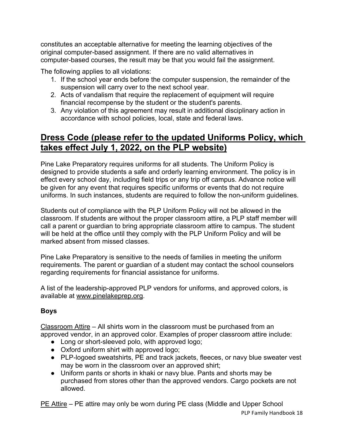constitutes an acceptable alternative for meeting the learning objectives of the original computer-based assignment. If there are no valid alternatives in computer-based courses, the result may be that you would fail the assignment.

The following applies to all violations:

- 1. If the school year ends before the computer suspension, the remainder of the suspension will carry over to the next school year.
- 2. Acts of vandalism that require the replacement of equipment will require financial recompense by the student or the student's parents.
- 3. Any violation of this agreement may result in additional disciplinary action in accordance with school policies, local, state and federal laws.

# **Dress Code (please refer to the updated Uniforms Policy, which takes effect July 1, 2022, on the PLP website)**

Pine Lake Preparatory requires uniforms for all students. The Uniform Policy is designed to provide students a safe and orderly learning environment. The policy is in effect every school day, including field trips or any trip off campus. Advance notice will be given for any event that requires specific uniforms or events that do not require uniforms. In such instances, students are required to follow the non-uniform guidelines.

Students out of compliance with the PLP Uniform Policy will not be allowed in the classroom. If students are without the proper classroom attire, a PLP staff member will call a parent or guardian to bring appropriate classroom attire to campus. The student will be held at the office until they comply with the PLP Uniform Policy and will be marked absent from missed classes.

Pine Lake Preparatory is sensitive to the needs of families in meeting the uniform requirements. The parent or guardian of a student may contact the school counselors regarding requirements for financial assistance for uniforms.

A list of the leadership-approved PLP vendors for uniforms, and approved colors, is available at www.pinelakeprep.org.

# **Boys**

Classroom Attire – All shirts worn in the classroom must be purchased from an approved vendor, in an approved color. Examples of proper classroom attire include:

- Long or short-sleeved polo, with approved logo;
- Oxford uniform shirt with approved logo;
- PLP-logoed sweatshirts, PE and track jackets, fleeces, or navy blue sweater vest may be worn in the classroom over an approved shirt;
- Uniform pants or shorts in khaki or navy blue. Pants and shorts may be purchased from stores other than the approved vendors. Cargo pockets are not allowed.

PLP Family Handbook 18 PE Attire – PE attire may only be worn during PE class (Middle and Upper School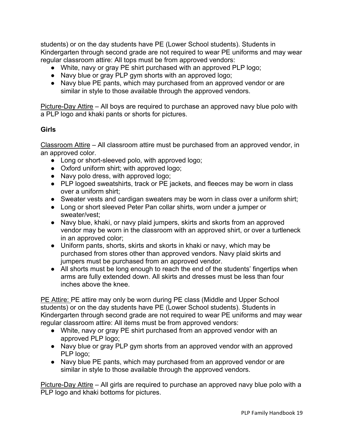students) or on the day students have PE (Lower School students). Students in Kindergarten through second grade are not required to wear PE uniforms and may wear regular classroom attire: All tops must be from approved vendors:

- White, navy or gray PE shirt purchased with an approved PLP logo;
- Navy blue or gray PLP gym shorts with an approved logo;
- Navy blue PE pants, which may purchased from an approved vendor or are similar in style to those available through the approved vendors.

Picture-Day Attire – All boys are required to purchase an approved navy blue polo with a PLP logo and khaki pants or shorts for pictures.

### **Girls**

Classroom Attire – All classroom attire must be purchased from an approved vendor, in an approved color.

- Long or short-sleeved polo, with approved logo;
- Oxford uniform shirt; with approved logo;
- Navy polo dress, with approved logo;
- PLP logoed sweatshirts, track or PE jackets, and fleeces may be worn in class over a uniform shirt;
- Sweater vests and cardigan sweaters may be worn in class over a uniform shirt;
- Long or short sleeved Peter Pan collar shirts, worn under a jumper or sweater/vest;
- Navy blue, khaki, or navy plaid jumpers, skirts and skorts from an approved vendor may be worn in the classroom with an approved shirt, or over a turtleneck in an approved color;
- Uniform pants, shorts, skirts and skorts in khaki or navy, which may be purchased from stores other than approved vendors. Navy plaid skirts and jumpers must be purchased from an approved vendor.
- All shorts must be long enough to reach the end of the students' fingertips when arms are fully extended down. All skirts and dresses must be less than four inches above the knee.

PE Attire: PE attire may only be worn during PE class (Middle and Upper School students) or on the day students have PE (Lower School students). Students in Kindergarten through second grade are not required to wear PE uniforms and may wear regular classroom attire: All items must be from approved vendors:

- White, navy or gray PE shirt purchased from an approved vendor with an approved PLP logo;
- Navy blue or gray PLP gym shorts from an approved vendor with an approved PLP logo;
- Navy blue PE pants, which may purchased from an approved vendor or are similar in style to those available through the approved vendors.

Picture-Day Attire – All girls are required to purchase an approved navy blue polo with a PLP logo and khaki bottoms for pictures.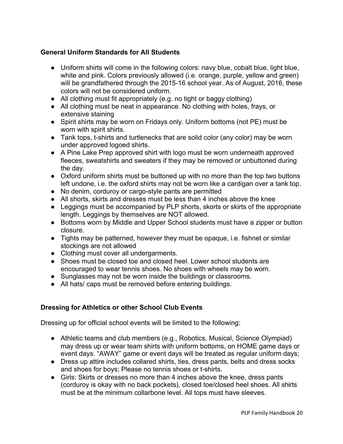# **General Uniform Standards for All Students**

- Uniform shirts will come in the following colors: navy blue, cobalt blue, light blue, white and pink. Colors previously allowed (i.e. orange, purple, yellow and green) will be grandfathered through the 2015-16 school year. As of August, 2016, these colors will not be considered uniform.
- All clothing must fit appropriately (e.g. no tight or baggy clothing)
- All clothing must be neat in appearance. No clothing with holes, frays, or extensive staining
- Spirit shirts may be worn on Fridays only. Uniform bottoms (not PE) must be worn with spirit shirts.
- Tank tops, t-shirts and turtlenecks that are solid color (any color) may be worn under approved logoed shirts.
- A Pine Lake Prep approved shirt with logo must be worn underneath approved fleeces, sweatshirts and sweaters if they may be removed or unbuttoned during the day.
- Oxford uniform shirts must be buttoned up with no more than the top two buttons left undone, i.e. the oxford shirts may not be worn like a cardigan over a tank top.
- No denim, corduroy or cargo-style pants are permitted
- All shorts, skirts and dresses must be less than 4 inches above the knee
- Leggings must be accompanied by PLP shorts, skorts or skirts of the appropriate length. Leggings by themselves are NOT allowed.
- Bottoms worn by Middle and Upper School students must have a zipper or button closure.
- Tights may be patterned, however they must be opaque, i.e. fishnet or similar stockings are not allowed
- Clothing must cover all undergarments.
- Shoes must be closed toe and closed heel. Lower school students are encouraged to wear tennis shoes. No shoes with wheels may be worn.
- Sunglasses may not be worn inside the buildings or classrooms.
- All hats/ caps must be removed before entering buildings.

# **Dressing for Athletics or other School Club Events**

Dressing up for official school events will be limited to the following:

- Athletic teams and club members (e.g., Robotics, Musical, Science Olympiad) may dress up or wear team shirts with uniform bottoms, on HOME game days or event days. "AWAY" game or event days will be treated as regular uniform days;
- Dress up attire includes collared shirts, ties, dress pants, belts and dress socks and shoes for boys; Please no tennis shoes or t-shirts.
- Girls: Skirts or dresses no more than 4 inches above the knee, dress pants (corduroy is okay with no back pockets), closed toe/closed heel shoes. All shirts must be at the minimum collarbone level. All tops must have sleeves.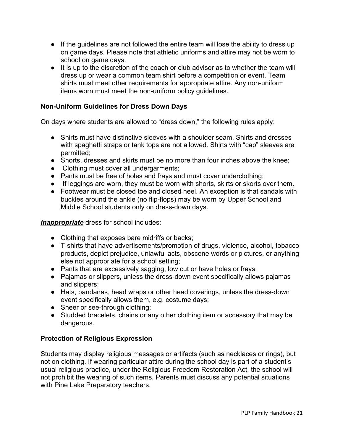- If the guidelines are not followed the entire team will lose the ability to dress up on game days. Please note that athletic uniforms and attire may not be worn to school on game days.
- It is up to the discretion of the coach or club advisor as to whether the team will dress up or wear a common team shirt before a competition or event. Team shirts must meet other requirements for appropriate attire. Any non-uniform items worn must meet the non-uniform policy guidelines.

### **Non-Uniform Guidelines for Dress Down Days**

On days where students are allowed to "dress down," the following rules apply:

- Shirts must have distinctive sleeves with a shoulder seam. Shirts and dresses with spaghetti straps or tank tops are not allowed. Shirts with "cap" sleeves are permitted;
- Shorts, dresses and skirts must be no more than four inches above the knee;
- Clothing must cover all undergarments;
- Pants must be free of holes and frays and must cover underclothing;
- If leggings are worn, they must be worn with shorts, skirts or skorts over them.
- Footwear must be closed toe and closed heel. An exception is that sandals with buckles around the ankle (no flip-flops) may be worn by Upper School and Middle School students only on dress-down days.

*Inappropriate* dress for school includes:

- Clothing that exposes bare midriffs or backs;
- T-shirts that have advertisements/promotion of drugs, violence, alcohol, tobacco products, depict prejudice, unlawful acts, obscene words or pictures, or anything else not appropriate for a school setting;
- Pants that are excessively sagging, low cut or have holes or frays;
- Pajamas or slippers, unless the dress-down event specifically allows pajamas and slippers;
- Hats, bandanas, head wraps or other head coverings, unless the dress-down event specifically allows them, e.g. costume days;
- Sheer or see-through clothing;
- Studded bracelets, chains or any other clothing item or accessory that may be dangerous.

# **Protection of Religious Expression**

Students may display religious messages or artifacts (such as necklaces or rings), but not on clothing. If wearing particular attire during the school day is part of a student's usual religious practice, under the Religious Freedom Restoration Act, the school will not prohibit the wearing of such items. Parents must discuss any potential situations with Pine Lake Preparatory teachers.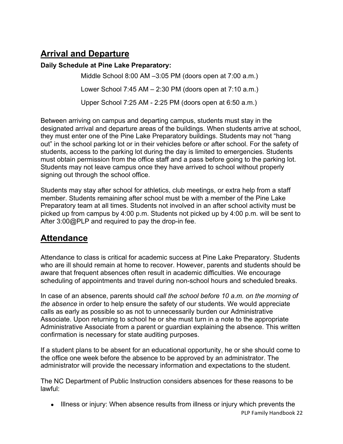# **Arrival and Departure**

### **Daily Schedule at Pine Lake Preparatory:**

Middle School 8:00 AM –3:05 PM (doors open at 7:00 a.m.) Lower School 7:45 AM – 2:30 PM (doors open at 7:10 a.m.)

Upper School 7:25 AM - 2:25 PM (doors open at 6:50 a.m.)

Between arriving on campus and departing campus, students must stay in the designated arrival and departure areas of the buildings. When students arrive at school, they must enter one of the Pine Lake Preparatory buildings. Students may not "hang out" in the school parking lot or in their vehicles before or after school. For the safety of students, access to the parking lot during the day is limited to emergencies. Students must obtain permission from the office staff and a pass before going to the parking lot. Students may not leave campus once they have arrived to school without properly signing out through the school office.

Students may stay after school for athletics, club meetings, or extra help from a staff member. Students remaining after school must be with a member of the Pine Lake Preparatory team at all times. Students not involved in an after school activity must be picked up from campus by 4:00 p.m. Students not picked up by 4:00 p.m. will be sent to After 3:00@PLP and required to pay the drop-in fee.

# **Attendance**

Attendance to class is critical for academic success at Pine Lake Preparatory. Students who are ill should remain at home to recover. However, parents and students should be aware that frequent absences often result in academic difficulties. We encourage scheduling of appointments and travel during non-school hours and scheduled breaks.

In case of an absence, parents should *call the school before 10 a.m. on the morning of the absence* in order to help ensure the safety of our students. We would appreciate calls as early as possible so as not to unnecessarily burden our Administrative Associate. Upon returning to school he or she must turn in a note to the appropriate Administrative Associate from a parent or guardian explaining the absence. This written confirmation is necessary for state auditing purposes.

If a student plans to be absent for an educational opportunity, he or she should come to the office one week before the absence to be approved by an administrator. The administrator will provide the necessary information and expectations to the student.

The NC Department of Public Instruction considers absences for these reasons to be lawful:

• Illness or injury: When absence results from illness or injury which prevents the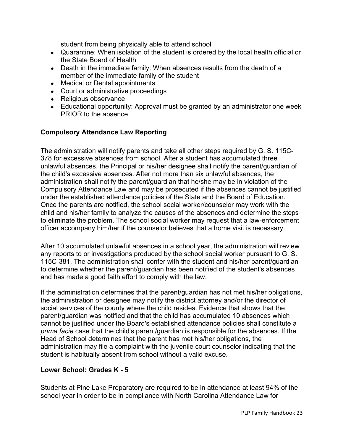student from being physically able to attend school

- Quarantine: When isolation of the student is ordered by the local health official or the State Board of Health
- Death in the immediate family: When absences results from the death of a member of the immediate family of the student
- Medical or Dental appointments
- Court or administrative proceedings
- Religious observance
- Educational opportunity: Approval must be granted by an administrator one week PRIOR to the absence.

### **Compulsory Attendance Law Reporting**

The administration will notify parents and take all other steps required by G. S. 115C-378 for excessive absences from school. After a student has accumulated three unlawful absences, the Principal or his/her designee shall notify the parent/guardian of the child's excessive absences. After not more than six unlawful absences, the administration shall notify the parent/guardian that he/she may be in violation of the Compulsory Attendance Law and may be prosecuted if the absences cannot be justified under the established attendance policies of the State and the Board of Education. Once the parents are notified, the school social worker/counselor may work with the child and his/her family to analyze the causes of the absences and determine the steps to eliminate the problem. The school social worker may request that a law-enforcement officer accompany him/her if the counselor believes that a home visit is necessary.

After 10 accumulated unlawful absences in a school year, the administration will review any reports to or investigations produced by the school social worker pursuant to G. S. 115C-381. The administration shall confer with the student and his/her parent/guardian to determine whether the parent/guardian has been notified of the student's absences and has made a good faith effort to comply with the law.

If the administration determines that the parent/guardian has not met his/her obligations, the administration or designee may notify the district attorney and/or the director of social services of the county where the child resides. Evidence that shows that the parent/guardian was notified and that the child has accumulated 10 absences which cannot be justified under the Board's established attendance policies shall constitute a *prima facie* case that the child's parent/guardian is responsible for the absences. If the Head of School determines that the parent has met his/her obligations, the administration may file a complaint with the juvenile court counselor indicating that the student is habitually absent from school without a valid excuse.

### **Lower School: Grades K - 5**

Students at Pine Lake Preparatory are required to be in attendance at least 94% of the school year in order to be in compliance with North Carolina Attendance Law for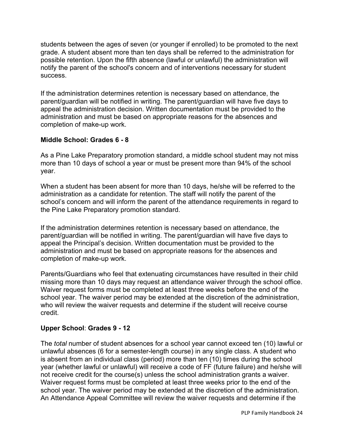students between the ages of seven (or younger if enrolled) to be promoted to the next grade. A student absent more than ten days shall be referred to the administration for possible retention. Upon the fifth absence (lawful or unlawful) the administration will notify the parent of the school's concern and of interventions necessary for student success.

If the administration determines retention is necessary based on attendance, the parent/guardian will be notified in writing. The parent/guardian will have five days to appeal the administration decision. Written documentation must be provided to the administration and must be based on appropriate reasons for the absences and completion of make-up work.

# **Middle School: Grades 6 - 8**

As a Pine Lake Preparatory promotion standard, a middle school student may not miss more than 10 days of school a year or must be present more than 94% of the school year.

When a student has been absent for more than 10 days, he/she will be referred to the administration as a candidate for retention. The staff will notify the parent of the school's concern and will inform the parent of the attendance requirements in regard to the Pine Lake Preparatory promotion standard.

If the administration determines retention is necessary based on attendance, the parent/guardian will be notified in writing. The parent/guardian will have five days to appeal the Principal's decision. Written documentation must be provided to the administration and must be based on appropriate reasons for the absences and completion of make-up work.

Parents/Guardians who feel that extenuating circumstances have resulted in their child missing more than 10 days may request an attendance waiver through the school office. Waiver request forms must be completed at least three weeks before the end of the school year. The waiver period may be extended at the discretion of the administration, who will review the waiver requests and determine if the student will receive course credit.

# **Upper School**: **Grades 9 - 12**

The *total* number of student absences for a school year cannot exceed ten (10) lawful or unlawful absences (6 for a semester-length course) in any single class. A student who is absent from an individual class (period) more than ten (10) times during the school year (whether lawful or unlawful) will receive a code of FF (future failure) and he/she will not receive credit for the course(s) unless the school administration grants a waiver. Waiver request forms must be completed at least three weeks prior to the end of the school year. The waiver period may be extended at the discretion of the administration. An Attendance Appeal Committee will review the waiver requests and determine if the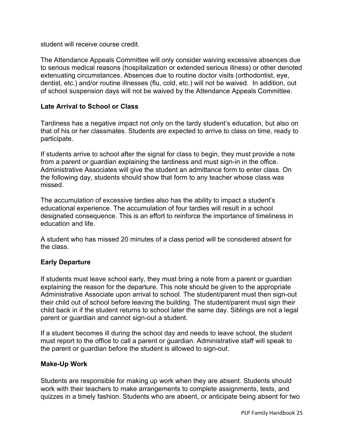student will receive course credit.

The Attendance Appeals Committee will only consider waiving excessive absences due to serious medical reasons (hospitalization or extended serious illness) or other denoted extenuating circumstances. Absences due to routine doctor visits (orthodontist, eye, dentist, etc.) and/or routine illnesses (flu, cold, etc.) will not be waived. In addition, out of school suspension days will not be waived by the Attendance Appeals Committee.

### **Late Arrival to School or Class**

Tardiness has a negative impact not only on the tardy student's education, but also on that of his or her classmates. Students are expected to arrive to class on time, ready to participate.

If students arrive to school after the signal for class to begin, they must provide a note from a parent or guardian explaining the tardiness and must sign-in in the office. Administrative Associates will give the student an admittance form to enter class. On the following day, students should show that form to any teacher whose class was missed.

The accumulation of excessive tardies also has the ability to impact a student's educational experience. The accumulation of four tardies will result in a school designated consequence. This is an effort to reinforce the importance of timeliness in education and life.

A student who has missed 20 minutes of a class period will be considered absent for the class.

### **Early Departure**

If students must leave school early, they must bring a note from a parent or guardian explaining the reason for the departure. This note should be given to the appropriate Administrative Associate upon arrival to school. The student/parent must then sign-out their child out of school before leaving the building. The student/parent must sign their child back in if the student returns to school later the same day. Siblings are not a legal parent or guardian and cannot sign-out a student.

If a student becomes ill during the school day and needs to leave school, the student must report to the office to call a parent or guardian. Administrative staff will speak to the parent or guardian before the student is allowed to sign-out.

#### **Make-Up Work**

Students are responsible for making up work when they are absent. Students should work with their teachers to make arrangements to complete assignments, tests, and quizzes in a timely fashion. Students who are absent, or anticipate being absent for two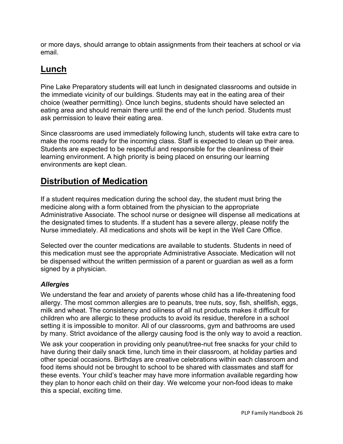or more days, should arrange to obtain assignments from their teachers at school or via email.

# **Lunch**

Pine Lake Preparatory students will eat lunch in designated classrooms and outside in the immediate vicinity of our buildings. Students may eat in the eating area of their choice (weather permitting). Once lunch begins, students should have selected an eating area and should remain there until the end of the lunch period. Students must ask permission to leave their eating area.

Since classrooms are used immediately following lunch, students will take extra care to make the rooms ready for the incoming class. Staff is expected to clean up their area. Students are expected to be respectful and responsible for the cleanliness of their learning environment. A high priority is being placed on ensuring our learning environments are kept clean.

# **Distribution of Medication**

If a student requires medication during the school day, the student must bring the medicine along with a form obtained from the physician to the appropriate Administrative Associate. The school nurse or designee will dispense all medications at the designated times to students. If a student has a severe allergy, please notify the Nurse immediately. All medications and shots will be kept in the Well Care Office.

Selected over the counter medications are available to students. Students in need of this medication must see the appropriate Administrative Associate. Medication will not be dispensed without the written permission of a parent or guardian as well as a form signed by a physician.

# *Allergies*

We understand the fear and anxiety of parents whose child has a life-threatening food allergy. The most common allergies are to peanuts, tree nuts, soy, fish, shellfish, eggs, milk and wheat. The consistency and oiliness of all nut products makes it difficult for children who are allergic to these products to avoid its residue, therefore in a school setting it is impossible to monitor. All of our classrooms, gym and bathrooms are used by many. Strict avoidance of the allergy causing food is the only way to avoid a reaction.

We ask your cooperation in providing only peanut/tree-nut free snacks for your child to have during their daily snack time, lunch time in their classroom, at holiday parties and other special occasions. Birthdays are creative celebrations within each classroom and food items should not be brought to school to be shared with classmates and staff for these events. Your child's teacher may have more information available regarding how they plan to honor each child on their day. We welcome your non-food ideas to make this a special, exciting time.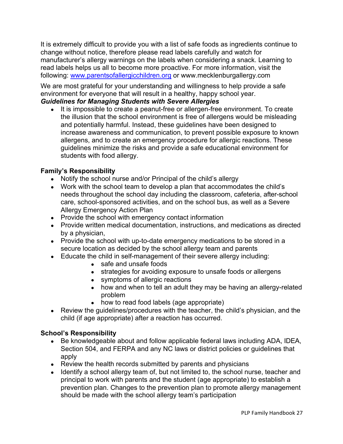It is extremely difficult to provide you with a list of safe foods as ingredients continue to change without notice, therefore please read labels carefully and watch for manufacturer's allergy warnings on the labels when considering a snack. Learning to read labels helps us all to become more proactive. For more information, visit the following: www.parentsofallergicchildren.org or www.mecklenburgallergy.com

We are most grateful for your understanding and willingness to help provide a safe environment for everyone that will result in a healthy, happy school year.

### *Guidelines for Managing Students with Severe Allergies*

• It is impossible to create a peanut-free or allergen-free environment. To create the illusion that the school environment is free of allergens would be misleading and potentially harmful. Instead, these guidelines have been designed to increase awareness and communication, to prevent possible exposure to known allergens, and to create an emergency procedure for allergic reactions. These guidelines minimize the risks and provide a safe educational environment for students with food allergy.

# **Family's Responsibility**

- Notify the school nurse and/or Principal of the child's allergy
- Work with the school team to develop a plan that accommodates the child's needs throughout the school day including the classroom, cafeteria, after-school care, school-sponsored activities, and on the school bus, as well as a Severe Allergy Emergency Action Plan
- Provide the school with emergency contact information
- Provide written medical documentation, instructions, and medications as directed by a physician,
- Provide the school with up-to-date emergency medications to be stored in a secure location as decided by the school allergy team and parents
- Educate the child in self-management of their severe allergy including:
	- safe and unsafe foods
	- strategies for avoiding exposure to unsafe foods or allergens
	- symptoms of allergic reactions
	- how and when to tell an adult they may be having an allergy-related problem
	- how to read food labels (age appropriate)
- Review the guidelines/procedures with the teacher, the child's physician, and the child (if age appropriate) after a reaction has occurred.

### **School's Responsibility**

- Be knowledgeable about and follow applicable federal laws including ADA, IDEA, Section 504, and FERPA and any NC laws or district policies or guidelines that apply
- Review the health records submitted by parents and physicians
- Identify a school allergy team of, but not limited to, the school nurse, teacher and principal to work with parents and the student (age appropriate) to establish a prevention plan. Changes to the prevention plan to promote allergy management should be made with the school allergy team's participation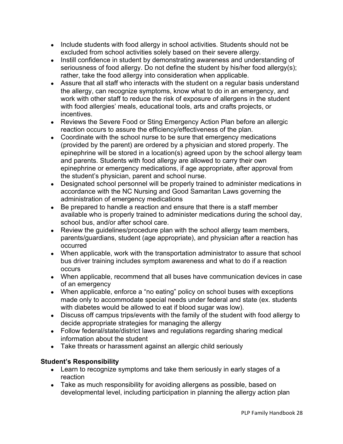- Include students with food allergy in school activities. Students should not be excluded from school activities solely based on their severe allergy.
- Instill confidence in student by demonstrating awareness and understanding of seriousness of food allergy. Do not define the student by his/her food allergy(s); rather, take the food allergy into consideration when applicable.
- Assure that all staff who interacts with the student on a regular basis understand the allergy, can recognize symptoms, know what to do in an emergency, and work with other staff to reduce the risk of exposure of allergens in the student with food allergies' meals, educational tools, arts and crafts projects, or incentives.
- Reviews the Severe Food or Sting Emergency Action Plan before an allergic reaction occurs to assure the efficiency/effectiveness of the plan.
- Coordinate with the school nurse to be sure that emergency medications (provided by the parent) are ordered by a physician and stored properly. The epinephrine will be stored in a location(s) agreed upon by the school allergy team and parents. Students with food allergy are allowed to carry their own epinephrine or emergency medications, if age appropriate, after approval from the student's physician, parent and school nurse.
- Designated school personnel will be properly trained to administer medications in accordance with the NC Nursing and Good Samaritan Laws governing the administration of emergency medications
- Be prepared to handle a reaction and ensure that there is a staff member available who is properly trained to administer medications during the school day, school bus, and/or after school care.
- Review the guidelines/procedure plan with the school allergy team members, parents/guardians, student (age appropriate), and physician after a reaction has occurred
- When applicable, work with the transportation administrator to assure that school bus driver training includes symptom awareness and what to do if a reaction occurs
- When applicable, recommend that all buses have communication devices in case of an emergency
- When applicable, enforce a "no eating" policy on school buses with exceptions made only to accommodate special needs under federal and state (ex. students with diabetes would be allowed to eat if blood sugar was low).
- Discuss off campus trips/events with the family of the student with food allergy to decide appropriate strategies for managing the allergy
- Follow federal/state/district laws and regulations regarding sharing medical information about the student
- Take threats or harassment against an allergic child seriously

# **Student's Responsibility**

- Learn to recognize symptoms and take them seriously in early stages of a reaction
- Take as much responsibility for avoiding allergens as possible, based on developmental level, including participation in planning the allergy action plan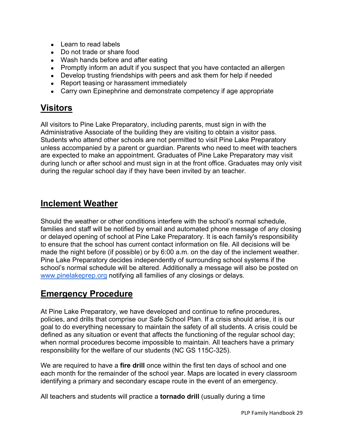- Learn to read labels
- Do not trade or share food
- Wash hands before and after eating
- Promptly inform an adult if you suspect that you have contacted an allergen
- Develop trusting friendships with peers and ask them for help if needed
- Report teasing or harassment immediately
- Carry own Epinephrine and demonstrate competency if age appropriate

# **Visitors**

All visitors to Pine Lake Preparatory, including parents, must sign in with the Administrative Associate of the building they are visiting to obtain a visitor pass. Students who attend other schools are not permitted to visit Pine Lake Preparatory unless accompanied by a parent or guardian. Parents who need to meet with teachers are expected to make an appointment. Graduates of Pine Lake Preparatory may visit during lunch or after school and must sign in at the front office. Graduates may only visit during the regular school day if they have been invited by an teacher.

# **Inclement Weather**

Should the weather or other conditions interfere with the school's normal schedule, families and staff will be notified by email and automated phone message of any closing or delayed opening of school at Pine Lake Preparatory. It is each family's responsibility to ensure that the school has current contact information on file. All decisions will be made the night before (if possible) or by 6:00 a.m. on the day of the inclement weather. Pine Lake Preparatory decides independently of surrounding school systems if the school's normal schedule will be altered. Additionally a message will also be posted on www.pinelakeprep.org notifying all families of any closings or delays.

# **Emergency Procedure**

At Pine Lake Preparatory, we have developed and continue to refine procedures, policies, and drills that comprise our Safe School Plan. If a crisis should arise, it is our goal to do everything necessary to maintain the safety of all students. A crisis could be defined as any situation or event that affects the functioning of the regular school day; when normal procedures become impossible to maintain. All teachers have a primary responsibility for the welfare of our students (NC GS 115C-325).

We are required to have a **fire drill** once within the first ten days of school and one each month for the remainder of the school year. Maps are located in every classroom identifying a primary and secondary escape route in the event of an emergency.

All teachers and students will practice a **tornado drill** (usually during a time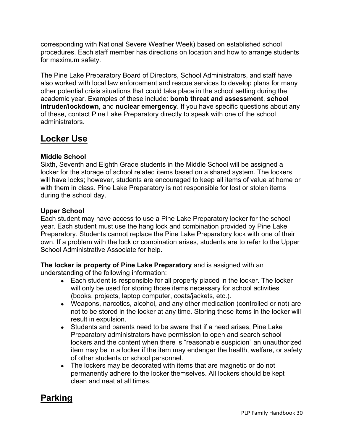corresponding with National Severe Weather Week) based on established school procedures. Each staff member has directions on location and how to arrange students for maximum safety.

The Pine Lake Preparatory Board of Directors, School Administrators, and staff have also worked with local law enforcement and rescue services to develop plans for many other potential crisis situations that could take place in the school setting during the academic year. Examples of these include: **bomb threat and assessment**, **school intruder/lockdown**, and **nuclear emergency**. If you have specific questions about any of these, contact Pine Lake Preparatory directly to speak with one of the school administrators.

# **Locker Use**

# **Middle School**

Sixth, Seventh and Eighth Grade students in the Middle School will be assigned a locker for the storage of school related items based on a shared system. The lockers will have locks; however, students are encouraged to keep all items of value at home or with them in class. Pine Lake Preparatory is not responsible for lost or stolen items during the school day.

# **Upper School**

Each student may have access to use a Pine Lake Preparatory locker for the school year. Each student must use the hang lock and combination provided by Pine Lake Preparatory. Students cannot replace the Pine Lake Preparatory lock with one of their own. If a problem with the lock or combination arises, students are to refer to the Upper School Administrative Associate for help.

**The locker is property of Pine Lake Preparatory** and is assigned with an understanding of the following information:

- Each student is responsible for all property placed in the locker. The locker will only be used for storing those items necessary for school activities (books, projects, laptop computer, coats/jackets, etc.).
- Weapons, narcotics, alcohol, and any other medication (controlled or not) are not to be stored in the locker at any time. Storing these items in the locker will result in expulsion.
- Students and parents need to be aware that if a need arises, Pine Lake Preparatory administrators have permission to open and search school lockers and the content when there is "reasonable suspicion" an unauthorized item may be in a locker if the item may endanger the health, welfare, or safety of other students or school personnel.
- The lockers may be decorated with items that are magnetic or do not permanently adhere to the locker themselves. All lockers should be kept clean and neat at all times.

# **Parking**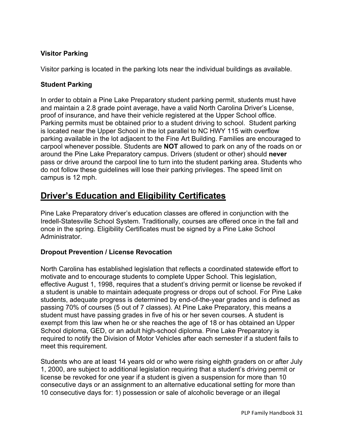# **Visitor Parking**

Visitor parking is located in the parking lots near the individual buildings as available.

# **Student Parking**

In order to obtain a Pine Lake Preparatory student parking permit, students must have and maintain a 2.8 grade point average, have a valid North Carolina Driver's License, proof of insurance, and have their vehicle registered at the Upper School office. Parking permits must be obtained prior to a student driving to school. Student parking is located near the Upper School in the lot parallel to NC HWY 115 with overflow parking available in the lot adjacent to the Fine Art Building. Families are encouraged to carpool whenever possible. Students are **NOT** allowed to park on any of the roads on or around the Pine Lake Preparatory campus. Drivers (student or other) should **never**  pass or drive around the carpool line to turn into the student parking area. Students who do not follow these guidelines will lose their parking privileges. The speed limit on campus is 12 mph.

# **Driver's Education and Eligibility Certificates**

Pine Lake Preparatory driver's education classes are offered in conjunction with the Iredell-Statesville School System. Traditionally, courses are offered once in the fall and once in the spring. Eligibility Certificates must be signed by a Pine Lake School Administrator.

# **Dropout Prevention / License Revocation**

North Carolina has established legislation that reflects a coordinated statewide effort to motivate and to encourage students to complete Upper School. This legislation, effective August 1, 1998, requires that a student's driving permit or license be revoked if a student is unable to maintain adequate progress or drops out of school. For Pine Lake students, adequate progress is determined by end-of-the-year grades and is defined as passing 70% of courses (5 out of 7 classes). At Pine Lake Preparatory, this means a student must have passing grades in five of his or her seven courses. A student is exempt from this law when he or she reaches the age of 18 or has obtained an Upper School diploma, GED, or an adult high-school diploma. Pine Lake Preparatory is required to notify the Division of Motor Vehicles after each semester if a student fails to meet this requirement.

Students who are at least 14 years old or who were rising eighth graders on or after July 1, 2000, are subject to additional legislation requiring that a student's driving permit or license be revoked for one year if a student is given a suspension for more than 10 consecutive days or an assignment to an alternative educational setting for more than 10 consecutive days for: 1) possession or sale of alcoholic beverage or an illegal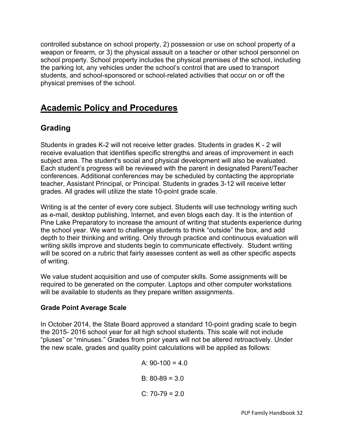controlled substance on school property, 2) possession or use on school property of a weapon or firearm, or 3) the physical assault on a teacher or other school personnel on school property. School property includes the physical premises of the school, including the parking lot, any vehicles under the school's control that are used to transport students, and school-sponsored or school-related activities that occur on or off the physical premises of the school.

# **Academic Policy and Procedures**

# **Grading**

Students in grades K-2 will not receive letter grades. Students in grades K - 2 will receive evaluation that identifies specific strengths and areas of improvement in each subject area. The student's social and physical development will also be evaluated. Each student's progress will be reviewed with the parent in designated Parent/Teacher conferences. Additional conferences may be scheduled by contacting the appropriate teacher, Assistant Principal, or Principal. Students in grades 3-12 will receive letter grades. All grades will utilize the state 10-point grade scale.

Writing is at the center of every core subject. Students will use technology writing such as e-mail, desktop publishing, Internet, and even blogs each day. It is the intention of Pine Lake Preparatory to increase the amount of writing that students experience during the school year. We want to challenge students to think "outside" the box, and add depth to their thinking and writing. Only through practice and continuous evaluation will writing skills improve and students begin to communicate effectively. Student writing will be scored on a rubric that fairly assesses content as well as other specific aspects of writing.

We value student acquisition and use of computer skills. Some assignments will be required to be generated on the computer. Laptops and other computer workstations will be available to students as they prepare written assignments.

# **Grade Point Average Scale**

In October 2014, the State Board approved a standard 10-point grading scale to begin the 2015- 2016 school year for all high school students. This scale will not include "pluses" or "minuses." Grades from prior years will not be altered retroactively. Under the new scale, grades and quality point calculations will be applied as follows:

> A:  $90-100 = 4.0$ B:  $80-89 = 3.0$  $C: 70-79 = 2.0$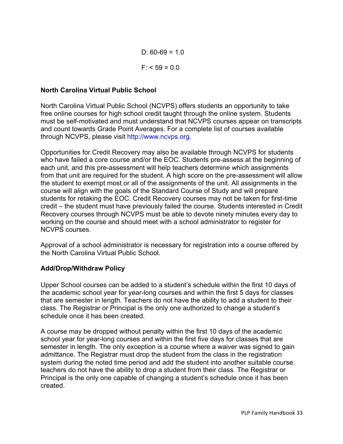D:  $60-69 = 1.0$  $F: < 59 = 0.0$ 

# **North Carolina Virtual Public School**

North Carolina Virtual Public School (NCVPS) offers students an opportunity to take free online courses for high school credit taught through the online system. Students must be self-motivated and must understand that NCVPS courses appear on transcripts and count towards Grade Point Averages. For a complete list of courses available through NCVPS, please visit http://www.ncvps.org.

Opportunities for Credit Recovery may also be available through NCVPS for students who have failed a core course and/or the EOC. Students pre-assess at the beginning of each unit, and this pre-assessment will help teachers determine which assignments from that unit are required for the student. A high score on the pre-assessment will allow the student to exempt most or all of the assignments of the unit. All assignments in the course will align with the goals of the Standard Course of Study and will prepare students for retaking the EOC. Credit Recovery courses may not be taken for first-time credit – the student must have previously failed the course. Students interested in Credit Recovery courses through NCVPS must be able to devote ninety minutes every day to working on the course and should meet with a school administrator to register for NCVPS courses.

Approval of a school administrator is necessary for registration into a course offered by the North Carolina Virtual Public School.

# **Add/Drop/Withdraw Policy**

Upper School courses can be added to a student's schedule within the first 10 days of the academic school year for year-long courses and within the first 5 days for classes that are semester in length. Teachers do not have the ability to add a student to their class. The Registrar or Principal is the only one authorized to change a student's schedule once it has been created.

A course may be dropped without penalty within the first 10 days of the academic school year for year-long courses and within the first five days for classes that are semester in length. The only exception is a course where a waiver was signed to gain admittance. The Registrar must drop the student from the class in the registration system during the noted time period and add the student into another suitable course. teachers do not have the ability to drop a student from their class. The Registrar or Principal is the only one capable of changing a student's schedule once it has been created.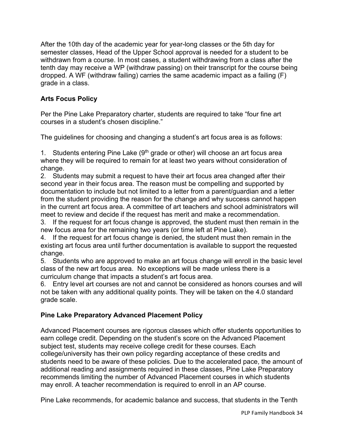After the 10th day of the academic year for year-long classes or the 5th day for semester classes, Head of the Upper School approval is needed for a student to be withdrawn from a course. In most cases, a student withdrawing from a class after the tenth day may receive a WP (withdraw passing) on their transcript for the course being dropped. A WF (withdraw failing) carries the same academic impact as a failing (F) grade in a class.

# **Arts Focus Policy**

Per the Pine Lake Preparatory charter, students are required to take "four fine art courses in a student's chosen discipline."

The guidelines for choosing and changing a student's art focus area is as follows:

1. Students entering Pine Lake  $(9<sup>th</sup>$  grade or other) will choose an art focus area where they will be required to remain for at least two years without consideration of change.

2. Students may submit a request to have their art focus area changed after their second year in their focus area. The reason must be compelling and supported by documentation to include but not limited to a letter from a parent/guardian and a letter from the student providing the reason for the change and why success cannot happen in the current art focus area. A committee of art teachers and school administrators will meet to review and decide if the request has merit and make a recommendation.

3. If the request for art focus change is approved, the student must then remain in the new focus area for the remaining two years (or time left at Pine Lake).

4. If the request for art focus change is denied, the student must then remain in the existing art focus area until further documentation is available to support the requested change.

5. Students who are approved to make an art focus change will enroll in the basic level class of the new art focus area. No exceptions will be made unless there is a curriculum change that impacts a student's art focus area.

6. Entry level art courses are not and cannot be considered as honors courses and will not be taken with any additional quality points. They will be taken on the 4.0 standard grade scale.

# **Pine Lake Preparatory Advanced Placement Policy**

Advanced Placement courses are rigorous classes which offer students opportunities to earn college credit. Depending on the student's score on the Advanced Placement subject test, students may receive college credit for these courses. Each college/university has their own policy regarding acceptance of these credits and students need to be aware of these policies. Due to the accelerated pace, the amount of additional reading and assignments required in these classes, Pine Lake Preparatory recommends limiting the number of Advanced Placement courses in which students may enroll. A teacher recommendation is required to enroll in an AP course.

Pine Lake recommends, for academic balance and success, that students in the Tenth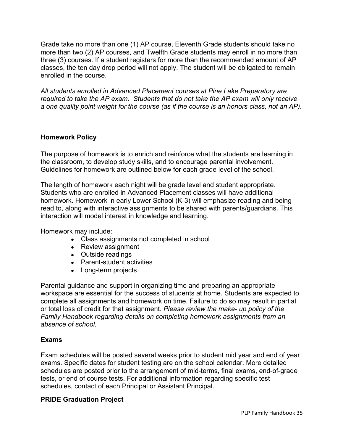Grade take no more than one (1) AP course, Eleventh Grade students should take no more than two (2) AP courses, and Twelfth Grade students may enroll in no more than three (3) courses. If a student registers for more than the recommended amount of AP classes, the ten day drop period will not apply. The student will be obligated to remain enrolled in the course.

*All students enrolled in Advanced Placement courses at Pine Lake Preparatory are required to take the AP exam. Students that do not take the AP exam will only receive a one quality point weight for the course (as if the course is an honors class, not an AP).*

# **Homework Policy**

The purpose of homework is to enrich and reinforce what the students are learning in the classroom, to develop study skills, and to encourage parental involvement. Guidelines for homework are outlined below for each grade level of the school.

The length of homework each night will be grade level and student appropriate. Students who are enrolled in Advanced Placement classes will have additional homework. Homework in early Lower School (K-3) will emphasize reading and being read to, along with interactive assignments to be shared with parents/guardians. This interaction will model interest in knowledge and learning.

Homework may include:

- Class assignments not completed in school
- Review assignment
- Outside readings
- Parent-student activities
- Long-term projects

Parental guidance and support in organizing time and preparing an appropriate workspace are essential for the success of students at home. Students are expected to complete all assignments and homework on time. Failure to do so may result in partial or total loss of credit for that assignment. *Please review the make- up policy of the Family Handbook regarding details on completing homework assignments from an absence of school.*

### **Exams**

Exam schedules will be posted several weeks prior to student mid year and end of year exams. Specific dates for student testing are on the school calendar. More detailed schedules are posted prior to the arrangement of mid-terms, final exams, end-of-grade tests, or end of course tests. For additional information regarding specific test schedules, contact of each Principal or Assistant Principal.

### **PRIDE Graduation Project**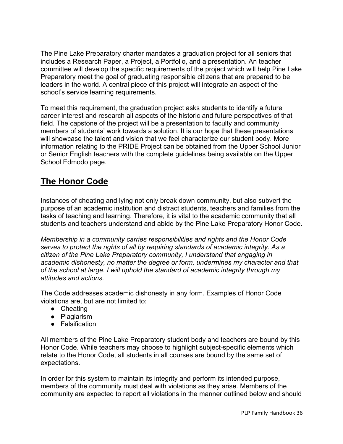The Pine Lake Preparatory charter mandates a graduation project for all seniors that includes a Research Paper, a Project, a Portfolio, and a presentation. An teacher committee will develop the specific requirements of the project which will help Pine Lake Preparatory meet the goal of graduating responsible citizens that are prepared to be leaders in the world. A central piece of this project will integrate an aspect of the school's service learning requirements.

To meet this requirement, the graduation project asks students to identify a future career interest and research all aspects of the historic and future perspectives of that field. The capstone of the project will be a presentation to faculty and community members of students' work towards a solution. It is our hope that these presentations will showcase the talent and vision that we feel characterize our student body. More information relating to the PRIDE Project can be obtained from the Upper School Junior or Senior English teachers with the complete guidelines being available on the Upper School Edmodo page.

# **The Honor Code**

Instances of cheating and lying not only break down community, but also subvert the purpose of an academic institution and distract students, teachers and families from the tasks of teaching and learning. Therefore, it is vital to the academic community that all students and teachers understand and abide by the Pine Lake Preparatory Honor Code.

*Membership in a community carries responsibilities and rights and the Honor Code serves to protect the rights of all by requiring standards of academic integrity. As a citizen of the Pine Lake Preparatory community, I understand that engaging in academic dishonesty, no matter the degree or form, undermines my character and that of the school at large. I will uphold the standard of academic integrity through my attitudes and actions.*

The Code addresses academic dishonesty in any form. Examples of Honor Code violations are, but are not limited to:

- Cheating
- Plagiarism
- Falsification

All members of the Pine Lake Preparatory student body and teachers are bound by this Honor Code. While teachers may choose to highlight subject-specific elements which relate to the Honor Code, all students in all courses are bound by the same set of expectations.

In order for this system to maintain its integrity and perform its intended purpose, members of the community must deal with violations as they arise. Members of the community are expected to report all violations in the manner outlined below and should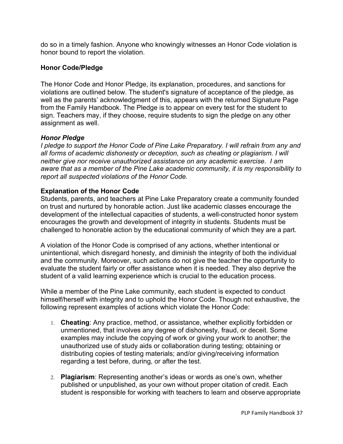do so in a timely fashion. Anyone who knowingly witnesses an Honor Code violation is honor bound to report the violation.

### **Honor Code/Pledge**

The Honor Code and Honor Pledge, its explanation, procedures, and sanctions for violations are outlined below. The student's signature of acceptance of the pledge, as well as the parents' acknowledgment of this, appears with the returned Signature Page from the Family Handbook. The Pledge is to appear on every test for the student to sign. Teachers may, if they choose, require students to sign the pledge on any other assignment as well.

### *Honor Pledge*

*I pledge to support the Honor Code of Pine Lake Preparatory. I will refrain from any and all forms of academic dishonesty or deception, such as cheating or plagiarism. I will neither give nor receive unauthorized assistance on any academic exercise. I am aware that as a member of the Pine Lake academic community, it is my responsibility to report all suspected violations of the Honor Code.*

### **Explanation of the Honor Code**

Students, parents, and teachers at Pine Lake Preparatory create a community founded on trust and nurtured by honorable action. Just like academic classes encourage the development of the intellectual capacities of students, a well-constructed honor system encourages the growth and development of integrity in students. Students must be challenged to honorable action by the educational community of which they are a part.

A violation of the Honor Code is comprised of any actions, whether intentional or unintentional, which disregard honesty, and diminish the integrity of both the individual and the community. Moreover, such actions do not give the teacher the opportunity to evaluate the student fairly or offer assistance when it is needed. They also deprive the student of a valid learning experience which is crucial to the education process.

While a member of the Pine Lake community, each student is expected to conduct himself/herself with integrity and to uphold the Honor Code. Though not exhaustive, the following represent examples of actions which violate the Honor Code:

- 1. **Cheating**: Any practice, method, or assistance, whether explicitly forbidden or unmentioned, that involves any degree of dishonesty, fraud, or deceit. Some examples may include the copying of work or giving your work to another; the unauthorized use of study aids or collaboration during testing; obtaining or distributing copies of testing materials; and/or giving/receiving information regarding a test before, during, or after the test.
- 2. **Plagiarism**: Representing another's ideas or words as one's own, whether published or unpublished, as your own without proper citation of credit. Each student is responsible for working with teachers to learn and observe appropriate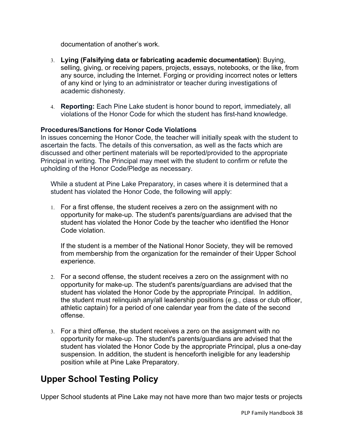documentation of another's work.

- 3. **Lying (Falsifying data or fabricating academic documentation)**: Buying, selling, giving, or receiving papers, projects, essays, notebooks, or the like, from any source, including the Internet. Forging or providing incorrect notes or letters of any kind or lying to an administrator or teacher during investigations of academic dishonesty.
- 4. **Reporting:** Each Pine Lake student is honor bound to report, immediately, all violations of the Honor Code for which the student has first-hand knowledge.

### **Procedures/Sanctions for Honor Code Violations**

In issues concerning the Honor Code, the teacher will initially speak with the student to ascertain the facts. The details of this conversation, as well as the facts which are discussed and other pertinent materials will be reported/provided to the appropriate Principal in writing. The Principal may meet with the student to confirm or refute the upholding of the Honor Code/Pledge as necessary.

While a student at Pine Lake Preparatory, in cases where it is determined that a student has violated the Honor Code, the following will apply:

1. For a first offense, the student receives a zero on the assignment with no opportunity for make-up. The student's parents/guardians are advised that the student has violated the Honor Code by the teacher who identified the Honor Code violation.

If the student is a member of the National Honor Society, they will be removed from membership from the organization for the remainder of their Upper School experience.

- 2. For a second offense, the student receives a zero on the assignment with no opportunity for make-up. The student's parents/guardians are advised that the student has violated the Honor Code by the appropriate Principal. In addition, the student must relinquish any/all leadership positions (e.g., class or club officer, athletic captain) for a period of one calendar year from the date of the second offense.
- 3. For a third offense, the student receives a zero on the assignment with no opportunity for make-up. The student's parents/guardians are advised that the student has violated the Honor Code by the appropriate Principal, plus a one-day suspension. In addition, the student is henceforth ineligible for any leadership position while at Pine Lake Preparatory.

# **Upper School Testing Policy**

Upper School students at Pine Lake may not have more than two major tests or projects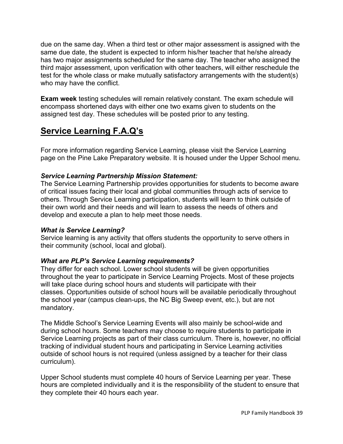due on the same day. When a third test or other major assessment is assigned with the same due date, the student is expected to inform his/her teacher that he/she already has two major assignments scheduled for the same day. The teacher who assigned the third major assessment, upon verification with other teachers, will either reschedule the test for the whole class or make mutually satisfactory arrangements with the student(s) who may have the conflict.

**Exam week** testing schedules will remain relatively constant. The exam schedule will encompass shortened days with either one two exams given to students on the assigned test day. These schedules will be posted prior to any testing.

# **Service Learning F.A.Q's**

For more information regarding Service Learning, please visit the Service Learning page on the Pine Lake Preparatory website. It is housed under the Upper School menu.

# *Service Learning Partnership Mission Statement:*

The Service Learning Partnership provides opportunities for students to become aware of critical issues facing their local and global communities through acts of service to others. Through Service Learning participation, students will learn to think outside of their own world and their needs and will learn to assess the needs of others and develop and execute a plan to help meet those needs.

### *What is Service Learning?*

Service learning is any activity that offers students the opportunity to serve others in their community (school, local and global).

# *What are PLP's Service Learning requirements?*

They differ for each school. Lower school students will be given opportunities throughout the year to participate in Service Learning Projects. Most of these projects will take place during school hours and students will participate with their classes. Opportunities outside of school hours will be available periodically throughout the school year (campus clean-ups, the NC Big Sweep event, etc.), but are not mandatory.

The Middle School's Service Learning Events will also mainly be school-wide and during school hours. Some teachers may choose to require students to participate in Service Learning projects as part of their class curriculum. There is, however, no official tracking of individual student hours and participating in Service Learning activities outside of school hours is not required (unless assigned by a teacher for their class curriculum).

Upper School students must complete 40 hours of Service Learning per year. These hours are completed individually and it is the responsibility of the student to ensure that they complete their 40 hours each year.